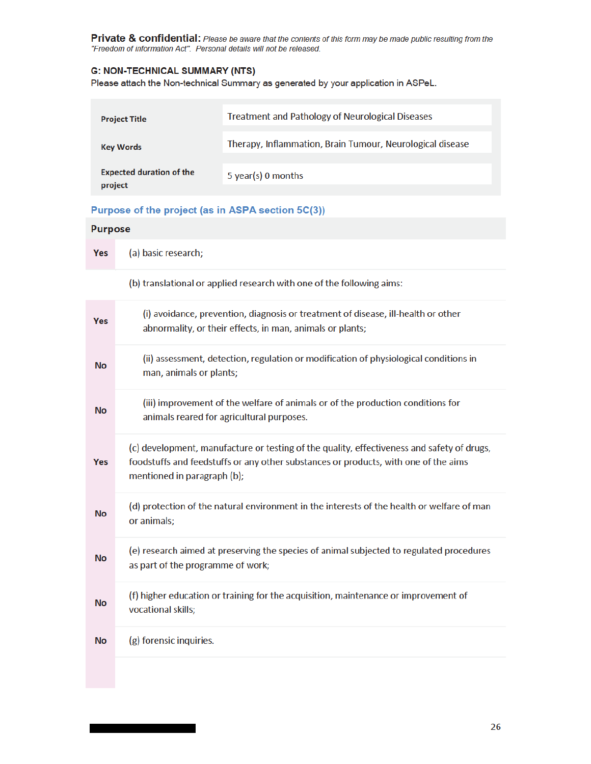Private & confidential: Please be aware that the contents of this form may be made public resulting from the "Freedom of information Act". Personal details will not be released.

# **G: NON-TECHNICAL SUMMARY (NTS)**

Please attach the Non-technical Summary as generated by your application in ASPeL.

| <b>Project Title</b>                       | <b>Treatment and Pathology of Neurological Diseases</b>   |
|--------------------------------------------|-----------------------------------------------------------|
| <b>Key Words</b>                           | Therapy, Inflammation, Brain Tumour, Neurological disease |
| <b>Expected duration of the</b><br>project | 5 year(s) 0 months                                        |

## Purpose of the project (as in ASPA section 5C(3))

## **Purpose**

(a) basic research; Yes

(b) translational or applied research with one of the following aims:

| <b>Yes</b> | (i) avoidance, prevention, diagnosis or treatment of disease, ill-health or other<br>abnormality, or their effects, in man, animals or plants;                                                                   |
|------------|------------------------------------------------------------------------------------------------------------------------------------------------------------------------------------------------------------------|
| <b>No</b>  | (ii) assessment, detection, regulation or modification of physiological conditions in<br>man, animals or plants;                                                                                                 |
| <b>No</b>  | (iii) improvement of the welfare of animals or of the production conditions for<br>animals reared for agricultural purposes.                                                                                     |
| <b>Yes</b> | (c) development, manufacture or testing of the quality, effectiveness and safety of drugs,<br>foodstuffs and feedstuffs or any other substances or products, with one of the aims<br>mentioned in paragraph (b); |
| <b>No</b>  | (d) protection of the natural environment in the interests of the health or welfare of man<br>or animals;                                                                                                        |
| <b>No</b>  | (e) research aimed at preserving the species of animal subjected to regulated procedures<br>as part of the programme of work;                                                                                    |
| <b>No</b>  | (f) higher education or training for the acquisition, maintenance or improvement of<br>vocational skills;                                                                                                        |
| <b>No</b>  | (g) forensic inquiries.                                                                                                                                                                                          |
|            |                                                                                                                                                                                                                  |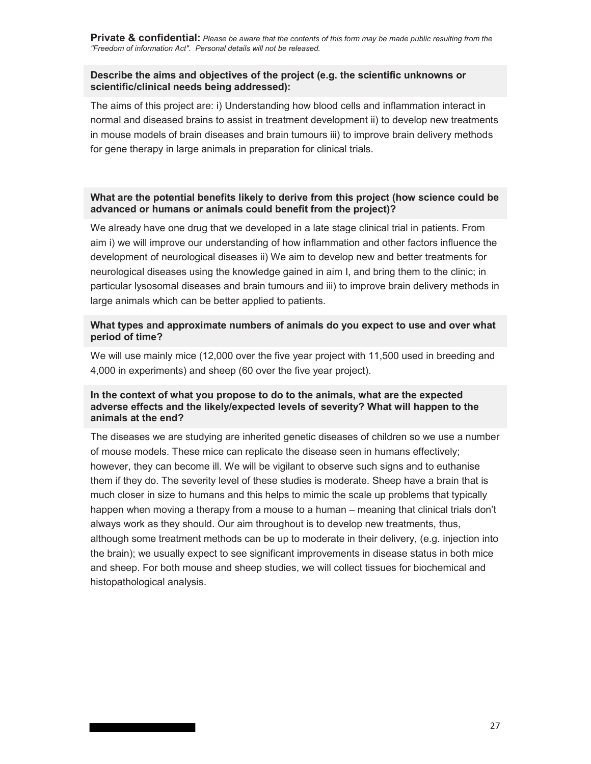**Private & confidential:** *Please be aware that the contents of this form may be made public resulting from the "Freedom of information Act". Personal details will not be released.* 

## **Describe the aims and objectives of the project (e.g. the scientific unknowns or scientific/clinical needs being addressed):**

The aims of this project are: i) Understanding how blood cells and inflammation interact in normal and diseased brains to assist in treatment development ii) to develop new treatments in mouse models of brain diseases and brain tumours iii) to improve brain delivery methods for gene therapy in large animals in preparation for clinical trials.

# **What are the potential benefits likely to derive from this project (how science could be advanced or humans or animals could benefit from the project)?**

We already have one drug that we developed in a late stage clinical trial in patients. From aim i) we will improve our understanding of how inflammation and other factors influence the development of neurological diseases ii) We aim to develop new and better treatments for neurological diseases using the knowledge gained in aim I, and bring them to the clinic; in particular lysosomal diseases and brain tumours and iii) to improve brain delivery methods in large animals which can be better applied to patients.

## **What types and approximate numbers of animals do you expect to use and over what period of time?**

We will use mainly mice (12,000 over the five year project with 11,500 used in breeding and 4,000 in experiments) and sheep (60 over the five year project).

## **In the context of what you propose to do to the animals, what are the expected adverse effects and the likely/expected levels of severity? What will happen to the animals at the end?**

The diseases we are studying are inherited genetic diseases of children so we use a number of mouse models. These mice can replicate the disease seen in humans effectively; however, they can become ill. We will be vigilant to observe such signs and to euthanise them if they do. The severity level of these studies is moderate. Sheep have a brain that is much closer in size to humans and this helps to mimic the scale up problems that typically happen when moving a therapy from a mouse to a human – meaning that clinical trials don't always work as they should. Our aim throughout is to develop new treatments, thus, although some treatment methods can be up to moderate in their delivery, (e.g. injection into the brain); we usually expect to see significant improvements in disease status in both mice and sheep. For both mouse and sheep studies, we will collect tissues for biochemical and histopathological analysis.